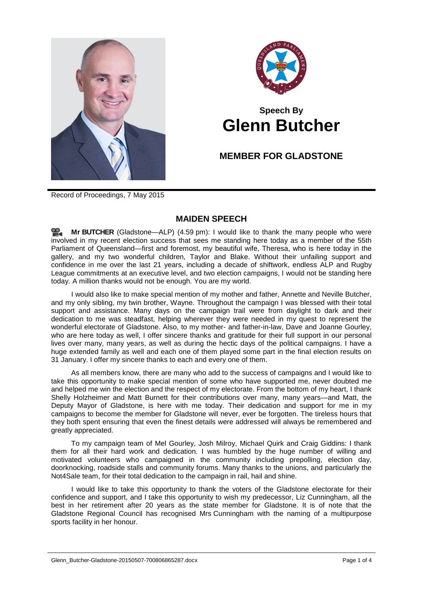



## **Speech By Glenn Butcher**

## **MEMBER FOR GLADSTONE**

Record of Proceedings, 7 May 2015

## **MAIDEN SPEECH**

**Mr [BUTCHER](http://www.parliament.qld.gov.au/docs/find.aspx?id=0Mba20150507_165909)** (Gladstone—ALP) (4.59 pm): I would like to thank the many people who were involved in my recent election success that sees me standing here today as a member of the 55th Parliament of Queensland—first and foremost, my beautiful wife, Theresa, who is here today in the gallery, and my two wonderful children, Taylor and Blake. Without their unfailing support and confidence in me over the last 21 years, including a decade of shiftwork, endless ALP and Rugby League commitments at an executive level, and two election campaigns, I would not be standing here today. A million thanks would not be enough. You are my world.

I would also like to make special mention of my mother and father, Annette and Neville Butcher, and my only sibling, my twin brother, Wayne. Throughout the campaign I was blessed with their total support and assistance. Many days on the campaign trail were from daylight to dark and their dedication to me was steadfast, helping wherever they were needed in my quest to represent the wonderful electorate of Gladstone. Also, to my mother- and father-in-law, Dave and Joanne Gourley, who are here today as well, I offer sincere thanks and gratitude for their full support in our personal lives over many, many years, as well as during the hectic days of the political campaigns. I have a huge extended family as well and each one of them played some part in the final election results on 31 January. I offer my sincere thanks to each and every one of them.

As all members know, there are many who add to the success of campaigns and I would like to take this opportunity to make special mention of some who have supported me, never doubted me and helped me win the election and the respect of my electorate. From the bottom of my heart, I thank Shelly Holzheimer and Matt Burnett for their contributions over many, many years—and Matt, the Deputy Mayor of Gladstone, is here with me today. Their dedication and support for me in my campaigns to become the member for Gladstone will never, ever be forgotten. The tireless hours that they both spent ensuring that even the finest details were addressed will always be remembered and greatly appreciated.

To my campaign team of Mel Gourley, Josh Milroy, Michael Quirk and Craig Giddins: I thank them for all their hard work and dedication. I was humbled by the huge number of willing and motivated volunteers who campaigned in the community including prepolling, election day, doorknocking, roadside stalls and community forums. Many thanks to the unions, and particularly the Not4Sale team, for their total dedication to the campaign in rail, hail and shine.

I would like to take this opportunity to thank the voters of the Gladstone electorate for their confidence and support, and I take this opportunity to wish my predecessor, Liz Cunningham, all the best in her retirement after 20 years as the state member for Gladstone. It is of note that the Gladstone Regional Council has recognised Mrs Cunningham with the naming of a multipurpose sports facility in her honour.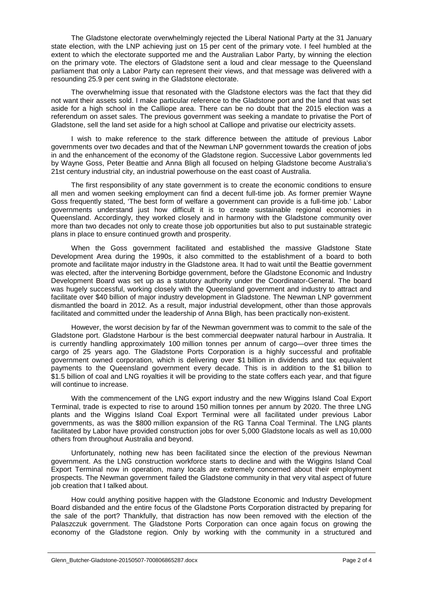The Gladstone electorate overwhelmingly rejected the Liberal National Party at the 31 January state election, with the LNP achieving just on 15 per cent of the primary vote. I feel humbled at the extent to which the electorate supported me and the Australian Labor Party, by winning the election on the primary vote. The electors of Gladstone sent a loud and clear message to the Queensland parliament that only a Labor Party can represent their views, and that message was delivered with a resounding 25.9 per cent swing in the Gladstone electorate.

The overwhelming issue that resonated with the Gladstone electors was the fact that they did not want their assets sold. I make particular reference to the Gladstone port and the land that was set aside for a high school in the Calliope area. There can be no doubt that the 2015 election was a referendum on asset sales. The previous government was seeking a mandate to privatise the Port of Gladstone, sell the land set aside for a high school at Calliope and privatise our electricity assets.

I wish to make reference to the stark difference between the attitude of previous Labor governments over two decades and that of the Newman LNP government towards the creation of jobs in and the enhancement of the economy of the Gladstone region. Successive Labor governments led by Wayne Goss, Peter Beattie and Anna Bligh all focused on helping Gladstone become Australia's 21st century industrial city, an industrial powerhouse on the east coast of Australia.

The first responsibility of any state government is to create the economic conditions to ensure all men and women seeking employment can find a decent full-time job. As former premier Wayne Goss frequently stated, 'The best form of welfare a government can provide is a full-time job.' Labor governments understand just how difficult it is to create sustainable regional economies in Queensland. Accordingly, they worked closely and in harmony with the Gladstone community over more than two decades not only to create those job opportunities but also to put sustainable strategic plans in place to ensure continued growth and prosperity.

When the Goss government facilitated and established the massive Gladstone State Development Area during the 1990s, it also committed to the establishment of a board to both promote and facilitate major industry in the Gladstone area. It had to wait until the Beattie government was elected, after the intervening Borbidge government, before the Gladstone Economic and Industry Development Board was set up as a statutory authority under the Coordinator-General. The board was hugely successful, working closely with the Queensland government and industry to attract and facilitate over \$40 billion of major industry development in Gladstone. The Newman LNP government dismantled the board in 2012. As a result, major industrial development, other than those approvals facilitated and committed under the leadership of Anna Bligh, has been practically non-existent.

However, the worst decision by far of the Newman government was to commit to the sale of the Gladstone port. Gladstone Harbour is the best commercial deepwater natural harbour in Australia. It is currently handling approximately 100 million tonnes per annum of cargo—over three times the cargo of 25 years ago. The Gladstone Ports Corporation is a highly successful and profitable government owned corporation, which is delivering over \$1 billion in dividends and tax equivalent payments to the Queensland government every decade. This is in addition to the \$1 billion to \$1.5 billion of coal and LNG royalties it will be providing to the state coffers each year, and that figure will continue to increase.

With the commencement of the LNG export industry and the new Wiggins Island Coal Export Terminal, trade is expected to rise to around 150 million tonnes per annum by 2020. The three LNG plants and the Wiggins Island Coal Export Terminal were all facilitated under previous Labor governments, as was the \$800 million expansion of the RG Tanna Coal Terminal. The LNG plants facilitated by Labor have provided construction jobs for over 5,000 Gladstone locals as well as 10,000 others from throughout Australia and beyond.

Unfortunately, nothing new has been facilitated since the election of the previous Newman government. As the LNG construction workforce starts to decline and with the Wiggins Island Coal Export Terminal now in operation, many locals are extremely concerned about their employment prospects. The Newman government failed the Gladstone community in that very vital aspect of future job creation that I talked about.

How could anything positive happen with the Gladstone Economic and Industry Development Board disbanded and the entire focus of the Gladstone Ports Corporation distracted by preparing for the sale of the port? Thankfully, that distraction has now been removed with the election of the Palaszczuk government. The Gladstone Ports Corporation can once again focus on growing the economy of the Gladstone region. Only by working with the community in a structured and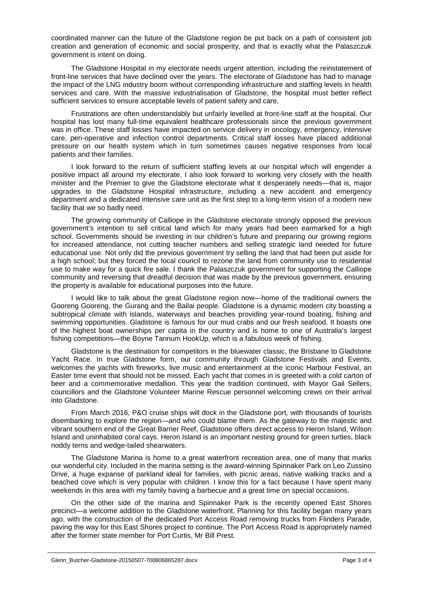coordinated manner can the future of the Gladstone region be put back on a path of consistent job creation and generation of economic and social prosperity, and that is exactly what the Palaszczuk government is intent on doing.

The Gladstone Hospital in my electorate needs urgent attention, including the reinstatement of front-line services that have declined over the years. The electorate of Gladstone has had to manage the impact of the LNG industry boom without corresponding infrastructure and staffing levels in health services and care. With the massive industrialisation of Gladstone, the hospital must better reflect sufficient services to ensure acceptable levels of patient safety and care.

Frustrations are often understandably but unfairly levelled at front-line staff at the hospital. Our hospital has lost many full-time equivalent healthcare professionals since the previous government was in office. These staff losses have impacted on service delivery in oncology, emergency, intensive care, peri-operative and infection control departments. Critical staff losses have placed additional pressure on our health system which in turn sometimes causes negative responses from local patients and their families.

I look forward to the return of sufficient staffing levels at our hospital which will engender a positive impact all around my electorate. I also look forward to working very closely with the health minister and the Premier to give the Gladstone electorate what it desperately needs—that is, major upgrades to the Gladstone Hospital infrastructure, including a new accident and emergency department and a dedicated intensive care unit as the first step to a long-term vision of a modern new facility that we so badly need.

The growing community of Calliope in the Gladstone electorate strongly opposed the previous government's intention to sell critical land which for many years had been earmarked for a high school. Governments should be investing in our children's future and preparing our growing regions for increased attendance, not cutting teacher numbers and selling strategic land needed for future educational use. Not only did the previous government try selling the land that had been put aside for a high school; but they forced the local council to rezone the land from community use to residential use to make way for a quick fire sale. I thank the Palaszczuk government for supporting the Calliope community and reversing that dreadful decision that was made by the previous government, ensuring the property is available for educational purposes into the future.

I would like to talk about the great Gladstone region now—home of the traditional owners the Gooreng Gooreng, the Gurang and the Bailai people. Gladstone is a dynamic modern city boasting a subtropical climate with islands, waterways and beaches providing year-round boating, fishing and swimming opportunities. Gladstone is famous for our mud crabs and our fresh seafood. It boasts one of the highest boat ownerships per capita in the country and is home to one of Australia's largest fishing competitions—the Boyne Tannum HookUp, which is a fabulous week of fishing.

Gladstone is the destination for competitors in the bluewater classic, the Brisbane to Gladstone Yacht Race. In true Gladstone form, our community through Gladstone Festivals and Events, welcomes the yachts with fireworks, live music and entertainment at the iconic Harbour Festival, an Easter time event that should not be missed. Each yacht that comes in is greeted with a cold carton of beer and a commemorative medallion. This year the tradition continued, with Mayor Gail Sellers, councillors and the Gladstone Volunteer Marine Rescue personnel welcoming crews on their arrival into Gladstone.

From March 2016, P&O cruise ships will dock in the Gladstone port, with thousands of tourists disembarking to explore the region—and who could blame them. As the gateway to the majestic and vibrant southern end of the Great Barrier Reef, Gladstone offers direct access to Heron Island, Wilson Island and uninhabited coral cays. Heron Island is an important nesting ground for green turtles, black noddy terns and wedge-tailed shearwaters.

The Gladstone Marina is home to a great waterfront recreation area, one of many that marks our wonderful city. Included in the marina setting is the award-winning Spinnaker Park on Leo Zussino Drive, a huge expanse of parkland ideal for families, with picnic areas, native walking tracks and a beached cove which is very popular with children. I know this for a fact because I have spent many weekends in this area with my family having a barbecue and a great time on special occasions.

On the other side of the marina and Spinnaker Park is the recently opened East Shores precinct—a welcome addition to the Gladstone waterfront. Planning for this facility began many years ago, with the construction of the dedicated Port Access Road removing trucks from Flinders Parade, paving the way for this East Shores project to continue. The Port Access Road is appropriately named after the former state member for Port Curtis, Mr Bill Prest.